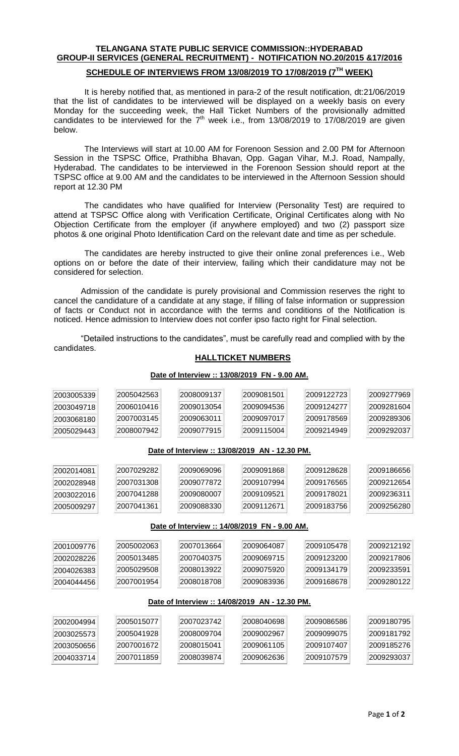# **TELANGANA STATE PUBLIC SERVICE COMMISSION::HYDERABAD GROUP-II SERVICES (GENERAL RECRUITMENT) - NOTIFICATION NO.20/2015 &17/2016**

## **SCHEDULE OF INTERVIEWS FROM 13/08/2019 TO 17/08/2019 (7 TH WEEK)**

It is hereby notified that, as mentioned in para-2 of the result notification, dt:21/06/2019 that the list of candidates to be interviewed will be displayed on a weekly basis on every Monday for the succeeding week, the Hall Ticket Numbers of the provisionally admitted candidates to be interviewed for the  $7<sup>th</sup>$  week i.e., from 13/08/2019 to 17/08/2019 are given below.

The Interviews will start at 10.00 AM for Forenoon Session and 2.00 PM for Afternoon Session in the TSPSC Office, Prathibha Bhavan, Opp. Gagan Vihar, M.J. Road, Nampally, Hyderabad. The candidates to be interviewed in the Forenoon Session should report at the TSPSC office at 9.00 AM and the candidates to be interviewed in the Afternoon Session should report at 12.30 PM

The candidates who have qualified for Interview (Personality Test) are required to attend at TSPSC Office along with Verification Certificate, Original Certificates along with No Objection Certificate from the employer (if anywhere employed) and two (2) passport size photos & one original Photo Identification Card on the relevant date and time as per schedule.

The candidates are hereby instructed to give their online zonal preferences i.e., Web options on or before the date of their interview, failing which their candidature may not be considered for selection.

Admission of the candidate is purely provisional and Commission reserves the right to cancel the candidature of a candidate at any stage, if filling of false information or suppression of facts or Conduct not in accordance with the terms and conditions of the Notification is noticed. Hence admission to Interview does not confer ipso facto right for Final selection.

"Detailed instructions to the candidates", must be carefully read and complied with by the candidates.

## **HALLTICKET NUMBERS**

#### **Date of Interview :: 13/08/2019 AN - 12.30 PM. Date of Interview :: 14/08/2019 FN - 9.00 AM. Date of Interview :: 14/08/2019 AN - 12.30 PM.**

## **Date of Interview :: 13/08/2019 FN - 9.00 AM.**